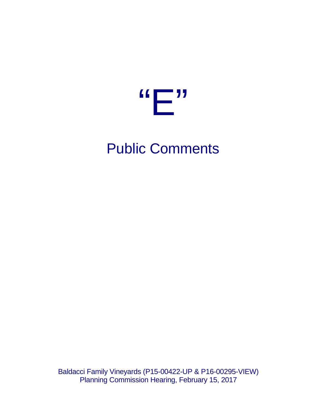

## Public Comments

Baldacci Family Vineyards (P15-00422-UP & P16-00295-VIEW) Planning Commission Hearing, February 15, 2017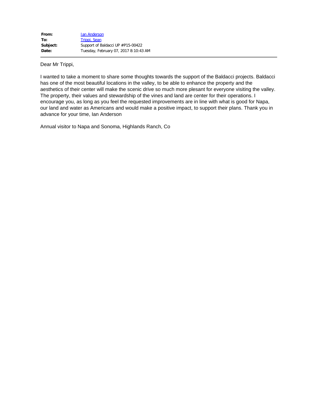| From:    | <b>Ian Anderson</b>                   |
|----------|---------------------------------------|
| To:      | Trippi, Sean                          |
| Subject: | Support of Baldacci UP #P15-00422     |
| Date:    | Tuesday, February 07, 2017 8:10:43 AM |

Dear Mr Trippi,

I wanted to take a moment to share some thoughts towards the support of the Baldacci projects. Baldacci has one of the most beautiful locations in the valley, to be able to enhance the property and the aesthetics of their center will make the scenic drive so much more plesant for everyone visiting the valley. The property, their values and stewardship of the vines and land are center for their operations. I encourage you, as long as you feel the requested improvements are in line with what is good for Napa, our land and water as Americans and would make a positive impact, to support their plans. Thank you in advance for your time, Ian Anderson

Annual visitor to Napa and Sonoma, Highlands Ranch, Co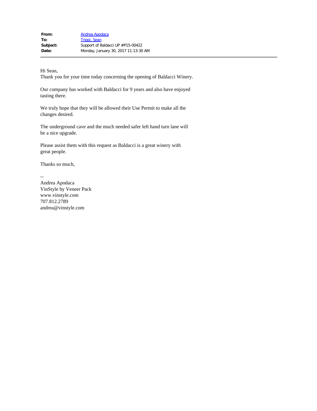Hi Sean,

Thank you for your time today concerning the opening of Baldacci Winery.

Our company has worked with Baldacci for 9 years and also have enjoyed tasting there.

We truly hope that they will be allowed their Use Permit to make all the changes desired.

The underground cave and the much needed safer left hand turn lane will be a nice upgrade.

Please assist them with this request as Baldacci is a great winery with great people.

Thanks so much,

--

Andrea Apodaca VinStyle by Veneer Pack www.vinstyle.com 707.812.2789 andrea@vinstyle.com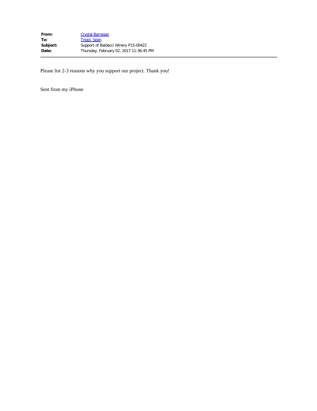Please list 2-3 reasons why you support our project. Thank you!

Sent from my iPhone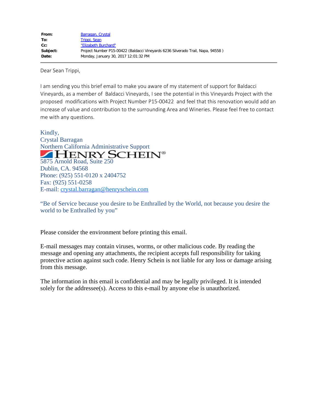Dear Sean Trippi,

I am sending you this brief email to make you aware of my statement of support for Baldacci Vineyards, as a member of Baldacci Vineyards, I see the potential in this Vineyards Project with the proposed modifications with Project Number P15-00422 and feel that this renovation would add an increase of value and contribution to the surrounding Area and Wineries. Please feel free to contact me with any questions.

Kindly, Crystal Barragan Northern California Administrative Support<br>
FIENRY SCHEIN® 5875 Arnold Road, Suite 250 Dublin, CA. 94568 Phone: (925) 551-0120 x 2404752 Fax: (925) 551-0258 E-mail: [crystal.barragan@henryschein.com](mailto:crystal.barragan@henryschein.com)

"Be of Service because you desire to be Enthralled by the World, not because you desire the world to be Enthralled by you"

Please consider the environment before printing this email.

E-mail messages may contain viruses, worms, or other malicious code. By reading the message and opening any attachments, the recipient accepts full responsibility for taking protective action against such code. Henry Schein is not liable for any loss or damage arising from this message.

The information in this email is confidential and may be legally privileged. It is intended solely for the addressee(s). Access to this e-mail by anyone else is unauthorized.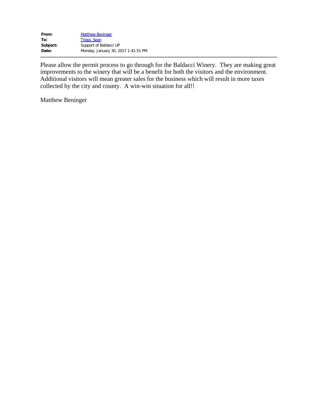| From:    | <b>Matthew Beninger</b>             |
|----------|-------------------------------------|
| To:      | Trippi, Sean                        |
| Subject: | Support of Baldacci UP              |
| Date:    | Monday, January 30, 2017 1:41:51 PM |

Please allow the permit process to go through for the Baldacci Winery. They are making great improvements to the winery that will be a benefit for both the visitors and the environment. Additional visitors will mean greater sales for the business which will result in more taxes collected by the city and county. A win-win situation for all!!

Matthew Beninger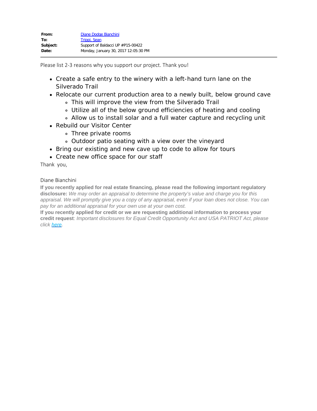Please list 2-3 reasons why you support our project. Thank you!

- Create a safe entry to the winery with a left-hand turn lane on the Silverado Trail
- Relocate our current production area to a newly built, below ground cave
	- This will improve the view from the Silverado Trail
	- Utilize all of the below ground efficiencies of heating and cooling
	- Allow us to install solar and a full water capture and recycling unit
- Rebuild our Visitor Center
	- Three private rooms
		- Outdoor patio seating with a view over the vineyard
- Bring our existing and new cave up to code to allow for tours
- Create new office space for our staff

Thank you,

## Diane Bianchini

**If you recently applied for real estate financing, please read the following important regulatory disclosure:** *We may order an appraisal to determine the property's value and charge you for this appraisal. We will promptly give you a copy of any appraisal, even if your loan does not close. You can pay for an additional appraisal for your own use at your own cost.*

**If you recently applied for credit or we are requesting additional information to process your credit request**: *Important disclosures for Equal Credit Opportunity Act and USA PATRIOT Act, please click [here](https://urldefense.proofpoint.com/v2/url?u=http-3A__www.svb.com_equal-2Dcredit-2Dopportunity-2Dact-2Ddisclosures_&d=DwMGaQ&c=yU98RTqmkHZnyr3K3nExYR0AsYvCxdg1GRVyYwwHmM0&r=C_-9ib1kTZnGPkDgUm-eFsG0nfWKKqYsvwQrIaN38_M&m=2qjjYHFiMCqtwPyVv1DEZLrJ1_WM-kBYCKYK4BKONk8&s=pUXlNblleZqocnFZBdkYDbp0fcGwClXu4IPrEo_ezwI&e=).*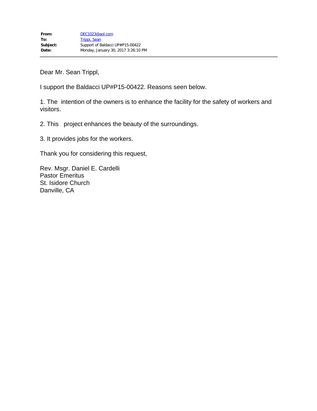Dear Mr. Sean Trippl,

I support the Baldacci UP#P15-00422. Reasons seen below.

1. The intention of the owners is to enhance the facility for the safety of workers and visitors.

2. This project enhances the beauty of the surroundings.

3. It provides jobs for the workers.

Thank you for considering this request,

Rev. Msgr. Daniel E. Cardelli Pastor Emeritus St. Isidore Church Danville, CA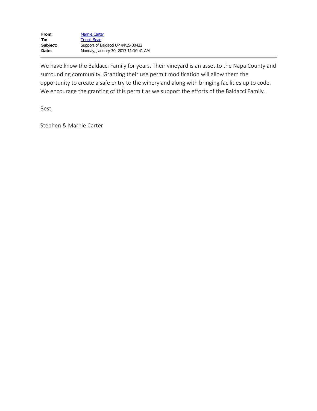| From:    | <b>Marnie Carter</b>                 |
|----------|--------------------------------------|
| To:      | Trippi, Sean                         |
| Subject: | Support of Baldacci UP #P15-00422    |
| Date:    | Monday, January 30, 2017 11:10:41 AM |

We have know the Baldacci Family for years. Their vineyard is an asset to the Napa County and surrounding community. Granting their use permit modification will allow them the opportunity to create a safe entry to the winery and along with bringing facilities up to code. We encourage the granting of this permit as we support the efforts of the Baldacci Family.

Best,

Stephen & Marnie Carter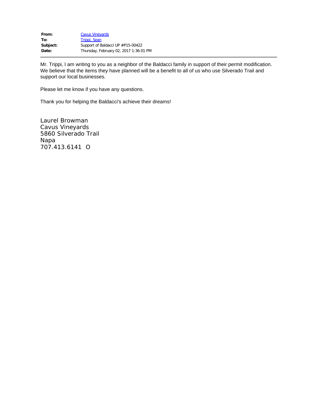| From:    | <b>Cavus Vineyards</b>                 |
|----------|----------------------------------------|
| To:      | Trippi, Sean                           |
| Subject: | Support of Baldacci UP #P15-00422      |
| Date:    | Thursday, February 02, 2017 1:36:01 PM |

Mr. Trippi, I am writing to you as a neighbor of the Baldacci family in support of their permit modification. We believe that the items they have planned will be a benefit to all of us who use Silverado Trail and support our local businesses.

Please let me know if you have any questions.

Thank you for helping the Baldacci's achieve their dreams!

Laurel Browman Cavus Vineyards 5860 Silverado Trail Napa 707.413.6141 O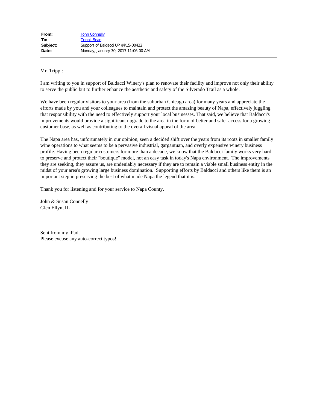Mr. Trippi:

I am writing to you in support of Baldacci Winery's plan to renovate their facility and improve not only their ability to serve the public but to further enhance the aesthetic and safety of the Silverado Trail as a whole.

We have been regular visitors to your area (from the suburban Chicago area) for many years and appreciate the efforts made by you and your colleagues to maintain and protect the amazing beauty of Napa, effectively juggling that responsibility with the need to effectively support your local businesses. That said, we believe that Baldacci's improvements would provide a significant upgrade to the area in the form of better and safer access for a growing customer base, as well as contributing to the overall visual appeal of the area.

The Napa area has, unfortunately in our opinion, seen a decided shift over the years from its roots in smaller family wine operations to what seems to be a pervasive industrial, gargantuan, and overly expensive winery business profile. Having been regular customers for more than a decade, we know that the Baldacci family works very hard to preserve and protect their "boutique" model, not an easy task in today's Napa environment. The improvements they are seeking, they assure us, are undeniably necessary if they are to remain a viable small business entity in the midst of your area's growing large business domination. Supporting efforts by Baldacci and others like them is an important step in preserving the best of what made Napa the legend that it is.

Thank you for listening and for your service to Napa County.

John & Susan Connelly Glen Ellyn, IL

Sent from my iPad; Please excuse any auto-correct typos!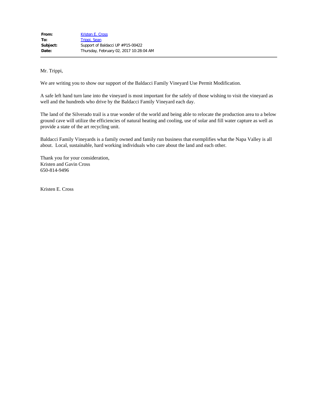Mr. Trippi,

We are writing you to show our support of the Baldacci Family Vineyard Use Permit Modification.

A safe left hand turn lane into the vineyard is most important for the safely of those wishing to visit the vineyard as well and the hundreds who drive by the Baldacci Family Vineyard each day.

The land of the Silverado trail is a true wonder of the world and being able to relocate the production area to a below ground cave will utilize the efficiencies of natural heating and cooling, use of solar and fill water capture as well as provide a state of the art recycling unit.

Baldacci Family Vineyards is a family owned and family run business that exemplifies what the Napa Valley is all about. Local, sustainable, hard working individuals who care about the land and each other.

Thank you for your consideration, Kristen and Gavin Cross 650-814-9496

Kristen E. Cross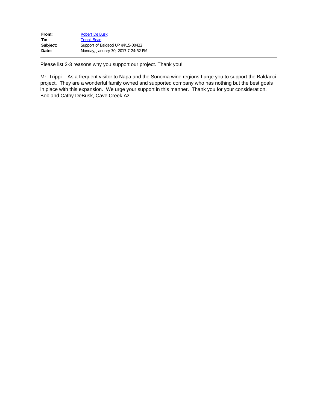| From:    | Robert De Busk                      |
|----------|-------------------------------------|
| To:      | Trippi, Sean                        |
| Subject: | Support of Baldacci UP #P15-00422   |
| Date:    | Monday, January 30, 2017 7:24:52 PM |
|          |                                     |

Please list 2-3 reasons why you support our project. Thank you!

Mr. Trippi - As a frequent visitor to Napa and the Sonoma wine regions I urge you to support the Baldacci project. They are a wonderful family owned and supported company who has nothing but the best goals in place with this expansion. We urge your support in this manner. Thank you for your consideration. Bob and Cathy DeBusk, Cave Creek,Az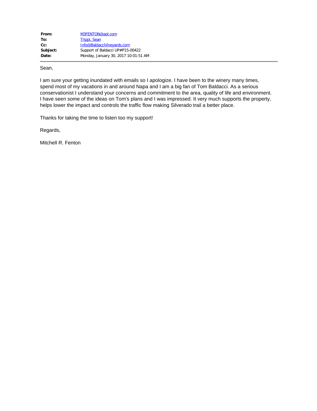| From:    | M3FENTON@aol.com                     |
|----------|--------------------------------------|
| To:      | Trippi, Sean                         |
| $Cc$ :   | Info@BaldacciVineyards.com           |
| Subject: | Support of Baldacci UP#P15-00422     |
| Date:    | Monday, January 30, 2017 10:01:51 AM |

Sean,

I am sure your getting inundated with emails so I apologize. I have been to the winery many times, spend most of my vacations in and around Napa and I am a big fan of Tom Baldacci. As a serious conservationist I understand your concerns and commitment to the area, quality of life and environment. I have seen some of the ideas on Tom's plans and I was impressed. It very much supports the property, helps lower the impact and controls the traffic flow making Silverado trail a better place.

Thanks for taking the time to listen too my support!

Regards,

Mitchell R. Fenton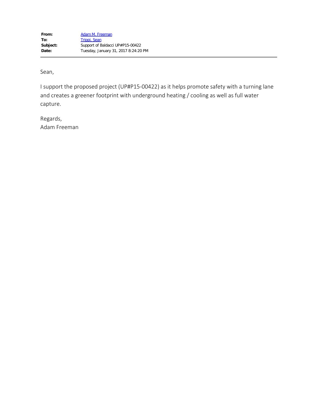Sean,

I support the proposed project (UP#P15-00422) as it helps promote safety with a turning lane and creates a greener footprint with underground heating / cooling as well as full water capture.

Regards, Adam Freeman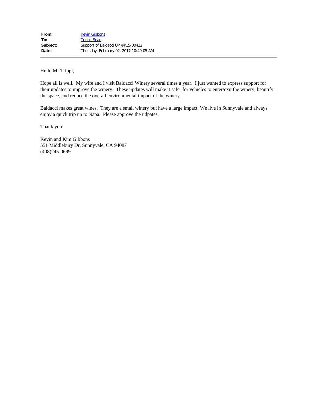Hello Mr Trippi,

Hope all is well. My wife and I visit Baldacci Winery several times a year. I just wanted to express support for their updates to improve the winery. These updates will make it safer for vehicles to enter/exit the winery, beautify the space, and reduce the overall environmental impact of the winery.

Baldacci makes great wines. They are a small winery but have a large impact. We live in Sunnyvale and always enjoy a quick trip up to Napa. Please approve the udpates.

Thank you!

Kevin and Kim Gibbons 551 Middlebury Dr, Sunnyvale, CA 94087 (408)245-0699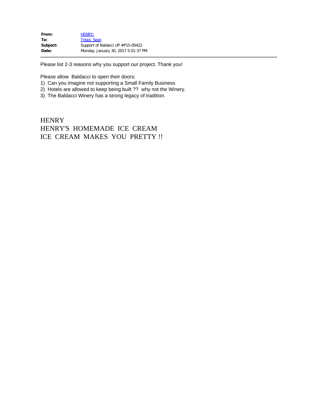| <b>HENRY:</b>                       |
|-------------------------------------|
| Trippi, Sean                        |
| Support of Baldacci UP #P15-00422   |
| Monday, January 30, 2017 5:01:37 PM |
|                                     |

Please list 2-3 reasons why you support our project. Thank you!

Please allow Baldacci to open their doors:

- 1) Can you imagine not supporting a Small Family Business
- 2) Hotels are allowed to keep being built ?? why not the Winery.
- 3) The Baldacci Winery has a strong legacy of tradition.

**HENRY** HENRY'S HOMEMADE ICE CREAM ICE CREAM MAKES YOU PRETTY !!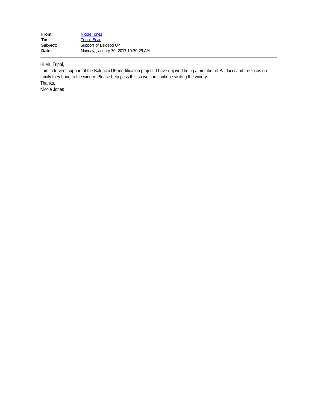| From:    | Nicole Jones                         |
|----------|--------------------------------------|
| To:      | Trippi, Sean                         |
| Subject: | Support of Baldacci UP               |
| Date:    | Monday, January 30, 2017 10:30:25 AM |

Hi Mr. Trippi,

I am in fervent support of the Baldacci UP modification project. I have enjoyed being a member of Baldacci and the focus on family they bring to the winery. Please help pass this so we can continue visiting the winery. Thanks, Nicole Jones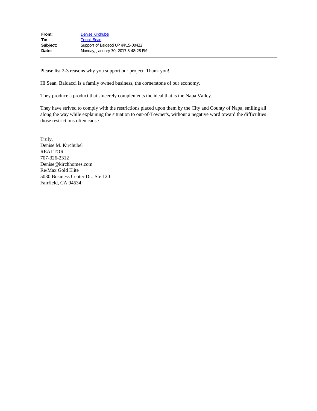| From:    | <b>Denise Kirchubel</b>             |
|----------|-------------------------------------|
| To:      | Trippi, Sean                        |
| Subject: | Support of Baldacci UP #P15-00422   |
| Date:    | Monday, January 30, 2017 8:48:28 PM |

Please list 2-3 reasons why you support our project. Thank you!

Hi Sean, Baldacci is a family owned business, the cornerstone of our economy.

They produce a product that sincerely complements the ideal that is the Napa Valley.

They have strived to comply with the restrictions placed upon them by the City and County of Napa, smiling all along the way while explaining the situation to out-of-Towner's, without a negative word toward the difficulties those restrictions often cause.

Truly, Denise M. Kirchubel REALTOR 707-326-2312 Denise@kirchhomes.com Re/Max Gold Elite 5030 Business Center Dr., Ste 120 Fairfield, CA 94534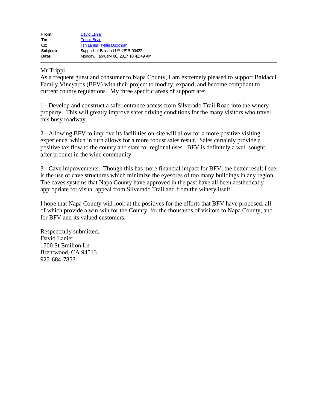| From:    | <b>David Lanier</b>                   |
|----------|---------------------------------------|
| To:      | Trippi, Sean                          |
| $Cc$ :   | Jan Lanier; Kellie Duckhorn           |
| Subject: | Support of Baldacci UP #P15-00422     |
| Date:    | Monday, February 06, 2017 10:42:49 AM |

## Mr Trippi,

As a frequent guest and consumer to Napa County, I am extremely pleased to support Baldacci Family Vineyards (BFV) with their project to modify, expand, and become compliant to current county regulations. My three specific areas of support are:

1 - Develop and construct a safer entrance access from Silverado Trail Road into the winery property. This will greatly improve safer driving conditions for the many visitors who travel this busy roadway.

2 - Allowing BFV to improve its facililties on-site will allow for a more positive visiting experience, which in turn allows for a more robust sales result. Sales certainly provide a positive tax flow to the county and state for regional uses. BFV is definitely a well sought after product in the wine community.

3 - Cave improvements. Though this has more financial impact for BFV, the better result I see is the use of cave structures which minimize the eyesores of too many buildings in any region. The caves systems that Napa County have approved in the past have all been aesthetically appropriate for visual appeal from Silverado Trail and from the winery itself.

I hope that Napa County will look at the positives for the efforts that BFV have proposed, all of which provide a win-win for the County, for the thousands of visitors to Napa County, and for BFV and its valued customers.

Respectfully submitted, David Lanier 1700 St Emilion Ln Brentwood, CA 94513 925-684-7853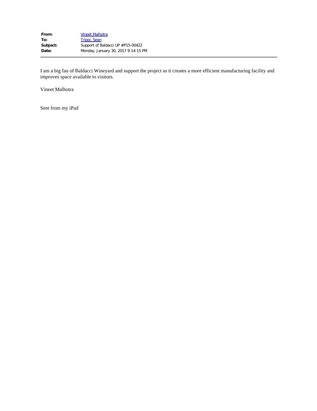I am a big fan of Baldacci Wineyard and support the project as it creates a more efficient manufacturing facility and improves space available to visitors.

Vineet Malhotra

Sent from my iPad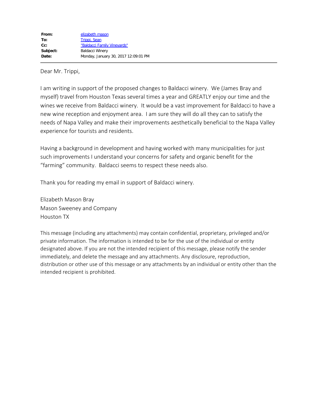Dear Mr. Trippi,

I am writing in support of the proposed changes to Baldacci winery. We (James Bray and myself) travel from Houston Texas several times a year and GREATLY enjoy our time and the wines we receive from Baldacci winery. It would be a vast improvement for Baldacci to have a new wine reception and enjoyment area. I am sure they will do all they can to satisfy the needs of Napa Valley and make their improvements aesthetically beneficial to the Napa Valley experience for tourists and residents.

Having a background in development and having worked with many municipalities for just such improvements I understand your concerns for safety and organic benefit for the "farming" community. Baldacci seems to respect these needs also.

Thank you for reading my email in support of Baldacci winery.

Elizabeth Mason Bray Mason Sweeney and Company Houston TX

This message (including any attachments) may contain confidential, proprietary, privileged and/or private information. The information is intended to be for the use of the individual or entity designated above. If you are not the intended recipient of this message, please notify the sender immediately, and delete the message and any attachments. Any disclosure, reproduction, distribution or other use of this message or any attachments by an individual or entity other than the intended recipient is prohibited.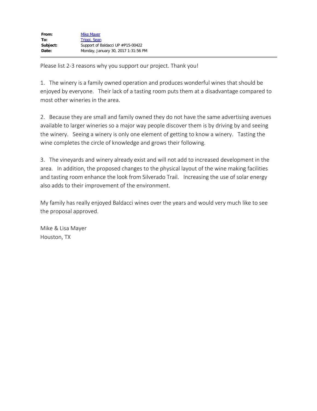Please list 2-3 reasons why you support our project. Thank you!

1. The winery is a family owned operation and produces wonderful wines that should be enjoyed by everyone. Their lack of a tasting room puts them at a disadvantage compared to most other wineries in the area.

2. Because they are small and family owned they do not have the same advertising avenues available to larger wineries so a major way people discover them is by driving by and seeing the winery. Seeing a winery is only one element of getting to know a winery. Tasting the wine completes the circle of knowledge and grows their following.

3. The vineyards and winery already exist and will not add to increased development in the area. In addition, the proposed changes to the physical layout of the wine making facilities and tasting room enhance the look from Silverado Trail. Increasing the use of solar energy also adds to their improvement of the environment.

My family has really enjoyed Baldacci wines over the years and would very much like to see the proposal approved.

Mike & Lisa Mayer Houston, TX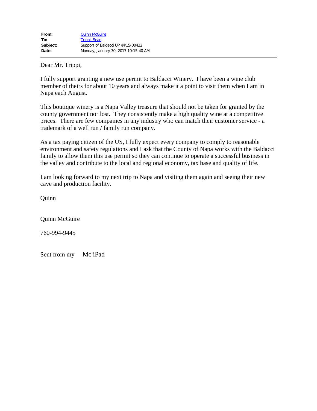Dear Mr. Trippi,

I fully support granting a new use permit to Baldacci Winery. I have been a wine club member of theirs for about 10 years and always make it a point to visit them when I am in Napa each August.

This boutique winery is a Napa Valley treasure that should not be taken for granted by the county government nor lost. They consistently make a high quality wine at a competitive prices. There are few companies in any industry who can match their customer service - a trademark of a well run / family run company.

As a tax paying citizen of the US, I fully expect every company to comply to reasonable environment and safety regulations and I ask that the County of Napa works with the Baldacci family to allow them this use permit so they can continue to operate a successful business in the valley and contribute to the local and regional economy, tax base and quality of life.

I am looking forward to my next trip to Napa and visiting them again and seeing their new cave and production facility.

**Quinn** 

Quinn McGuire

760-994-9445

Sent from my Mc iPad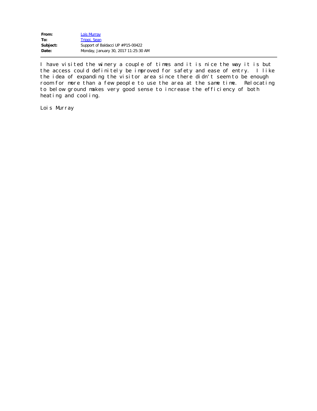| From:    | Lois Murray                          |
|----------|--------------------------------------|
| To:      | Trippi, Sean                         |
| Subject: | Support of Baldacci UP #P15-00422    |
| Date:    | Monday, January 30, 2017 11:25:30 AM |

I have visited the winery a couple of times and it is nice the way it is but the access could definitely be improved for safety and ease of entry. I like the idea of expanding the visitor area since there didn't seem to be enough room for more than a few people to use the area at the same time. Relocating to below ground makes very good sense to increase the efficiency of both heating and cooling.

Lois Murray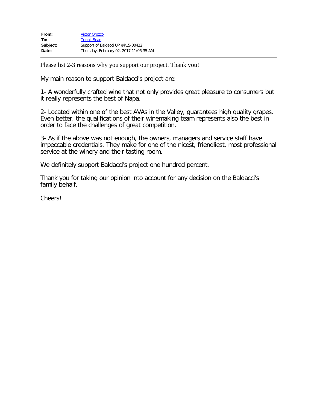| From:    | <b>Victor Orozco</b>                    |
|----------|-----------------------------------------|
| To:      | Trippi, Sean                            |
| Subject: | Support of Baldacci UP #P15-00422       |
| Date:    | Thursday, February 02, 2017 11:06:35 AM |

Please list 2-3 reasons why you support our project. Thank you!

My main reason to support Baldacci's project are:

1- A wonderfully crafted wine that not only provides great pleasure to consumers but it really represents the best of Napa.

2- Located within one of the best AVAs in the Valley, guarantees high quality grapes. Even better, the qualifications of their winemaking team represents also the best in order to face the challenges of great competition.

3- As if the above was not enough, the owners, managers and service staff have impeccable credentials. They make for one of the nicest, friendliest, most professional service at the winery and their tasting room.

We definitely support Baldacci's project one hundred percent.

Thank you for taking our opinion into account for any decision on the Baldacci's family behalf.

Cheers!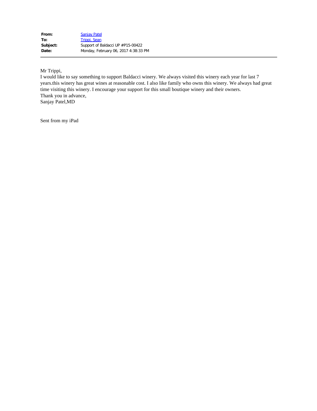Mr Trippi,

I would like to say something to support Baldacci winery. We always visited this winery each year for last 7 years.this winery has great wines at reasonable cost. I also like family who owns this winery. We always had great time visiting this winery. I encourage your support for this small boutique winery and their owners. Thank you in advance, Sanjay Patel,MD

Sent from my iPad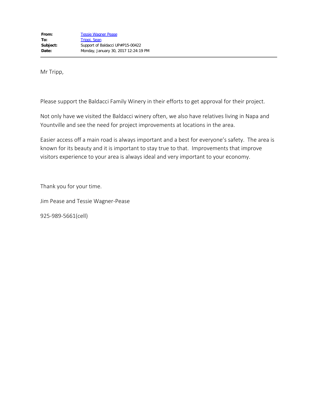Mr Tripp,

Please support the Baldacci Family Winery in their efforts to get approval for their project.

Not only have we visited the Baldacci winery often, we also have relatives living in Napa and Yountville and see the need for project improvements at locations in the area.

Easier access off a main road is always important and a best for everyone's safety. The area is known for its beauty and it is important to stay true to that. Improvements that improve visitors experience to your area is always ideal and very important to your economy.

Thank you for your time.

Jim Pease and Tessie Wagner-Pease

925-989-5661(cell)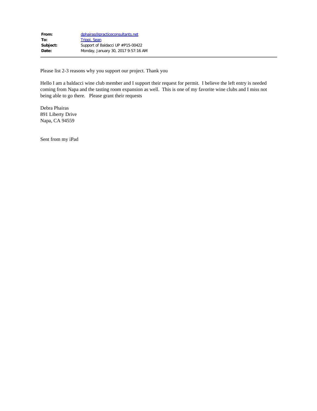| dphairas@practiceconsultants.net    |
|-------------------------------------|
| Trippi, Sean                        |
| Support of Baldacci UP #P15-00422   |
| Monday, January 30, 2017 9:57:16 AM |
|                                     |

Please list 2-3 reasons why you support our project. Thank you

Hello I am a baldacci wine club member and I support their request for permit. I believe the left entry is needed coming from Napa and the tasting room expansion as well. This is one of my favorite wine clubs and I miss not being able to go there. Please grant their requests

Debra Phairas 891 Liberty Drive Napa, CA 94559

Sent from my iPad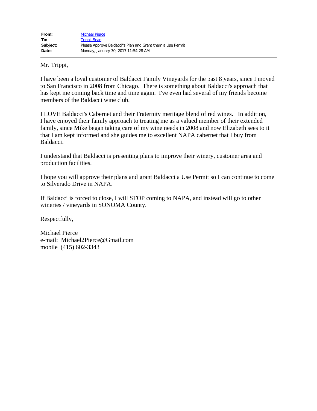Mr. Trippi,

I have been a loyal customer of Baldacci Family Vineyards for the past 8 years, since I moved to San Francisco in 2008 from Chicago. There is something about Baldacci's approach that has kept me coming back time and time again. I've even had several of my friends become members of the Baldacci wine club.

I LOVE Baldacci's Cabernet and their Fraternity meritage blend of red wines. In addition, I have enjoyed their family approach to treating me as a valued member of their extended family, since Mike began taking care of my wine needs in 2008 and now Elizabeth sees to it that I am kept informed and she guides me to excellent NAPA cabernet that I buy from Baldacci.

I understand that Baldacci is presenting plans to improve their winery, customer area and production facilities.

I hope you will approve their plans and grant Baldacci a Use Permit so I can continue to come to Silverado Drive in NAPA.

If Baldacci is forced to close, I will STOP coming to NAPA, and instead will go to other wineries / vineyards in SONOMA County.

Respectfully,

Michael Pierce e-mail: Michael2Pierce@Gmail.com mobile (415) 602-3343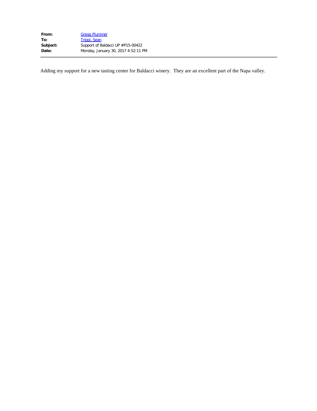| From:    | <b>Gregg Plummer</b>                |
|----------|-------------------------------------|
| To:      | Trippi, Sean                        |
| Subject: | Support of Baldacci UP #P15-00422   |
| Date:    | Monday, January 30, 2017 4:52:11 PM |

Adding my support for a new tasting center for Baldacci winery. They are an excellent part of the Napa valley.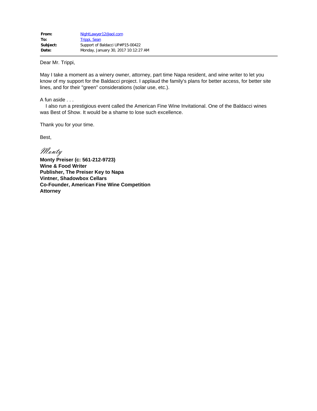Dear Mr. Trippi,

May I take a moment as a winery owner, attorney, part time Napa resident, and wine writer to let you know of my support for the Baldacci project. I applaud the family's plans for better access, for better site lines, and for their "green" considerations (solar use, etc.).

A fun aside . . .

 I also run a prestigious event called the American Fine Wine Invitational. One of the Baldacci wines was Best of Show. It would be a shame to lose such excellence.

Thank you for your time.

Best,

Monty

**Monty Preiser (c: 561-212-9723) Wine & Food Writer Publisher, The Preiser Key to Napa Vintner, Shadowbox Cellars Co-Founder, American Fine Wine Competition Attorney**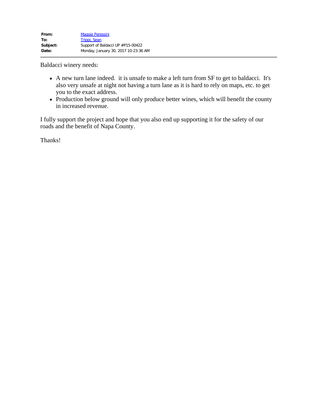Baldacci winery needs:

- A new turn lane indeed. it is unsafe to make a left turn from SF to get to baldacci. It's also very unsafe at night not having a turn lane as it is hard to rely on maps, etc. to get you to the exact address.
- Production below ground will only produce better wines, which will benefit the county in increased revenue.

I fully support the project and hope that you also end up supporting it for the safety of our roads and the benefit of Napa County.

Thanks!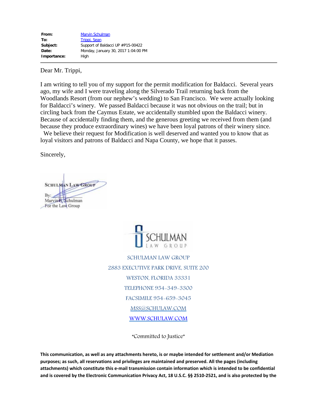| From:       | <b>Marvin Schulman</b>              |
|-------------|-------------------------------------|
| To:         | Trippi, Sean                        |
| Subject:    | Support of Baldacci UP #P15-00422   |
| Date:       | Monday, January 30, 2017 1:04:00 PM |
| Importance: | High                                |

Dear Mr. Trippi,

I am writing to tell you of my support for the permit modification for Baldacci. Several years ago, my wife and I were traveling along the Silverado Trail returning back from the Woodlands Resort (from our nephew's wedding) to San Francisco. We were actually looking for Baldacci's winery. We passed Baldacci because it was not obvious on the trail; but in circling back from the Caymus Estate, we accidentally stumbled upon the Baldacci winery. Because of accidentally finding them, and the generous greeting we received from them (and because they produce extraordinary wines) we have been loyal patrons of their winery since.

 We believe their request for Modification is well deserved and wanted you to know that as loyal visitors and patrons of Baldacci and Napa County, we hope that it passes.

Sincerely,

**SCHULMAN LAW GROUP** By: Marvin<sup>8</sup>, Schulman For the Law Group



SCHULMAN LAW GROUP 2883 EXECUTIVE PARK DRIVE, SUITE 200 WESTON, FLORIDA 33331 TELEPHONE 954-349-3300 FACSIMILE 954-659-3045 [MSS@SCHULAW.COM](mailto:SARAH@SCHULAW.COM) [WWW.SCHULAW.COM](https://urldefense.proofpoint.com/v2/url?u=http-3A__www.schulaw.com_&d=DwMFAw&c=yU98RTqmkHZnyr3K3nExYR0AsYvCxdg1GRVyYwwHmM0&r=C_-9ib1kTZnGPkDgUm-eFsG0nfWKKqYsvwQrIaN38_M&m=MrMsk4sVajpXHNIhfhIh1DOUyGDVUAJpw8PBr4T3zdA&s=Wv6fLXVQGWzdC1Anxipo_J25d6DZXGlcXVci4bBDaHw&e=)

"Committed to Justice"

**This communication, as well as any attachments hereto, is or maybe intended for settlement and/or Mediation purposes; as such, all reservations and privileges are maintained and preserved. All the pages (including attachments) which constitute this e-mail transmission contain information which is intended to be confidential and is covered by the Electronic Communication Privacy Act, 18 U.S.C. §§ 2510-2521, and is also protected by the**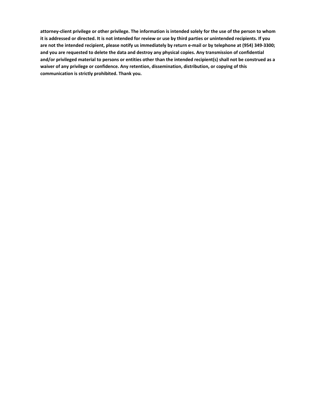**attorney-client privilege or other privilege. The information is intended solely for the use of the person to whom it is addressed or directed. It is not intended for review or use by third parties or unintended recipients. If you are not the intended recipient, please notify us immediately by return e-mail or by telephone at (954) 349-3300; and you are requested to delete the data and destroy any physical copies. Any transmission of confidential and/or privileged material to persons or entities other than the intended recipient(s) shall not be construed as a waiver of any privilege or confidence. Any retention, dissemination, distribution, or copying of this communication is strictly prohibited. Thank you.**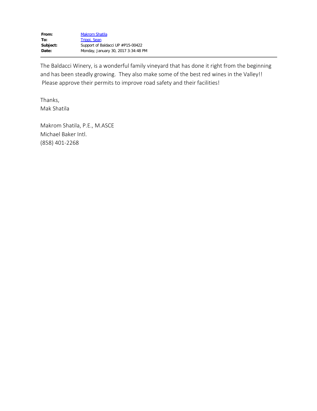The Baldacci Winery, is a wonderful family vineyard that has done it right from the beginning and has been steadly growing. They also make some of the best red wines in the Valley!! Please approve their permits to improve road safety and their facilities!

Thanks, Mak Shatila

Makrom Shatila, P.E., M.ASCE Michael Baker Intl. (858) 401-2268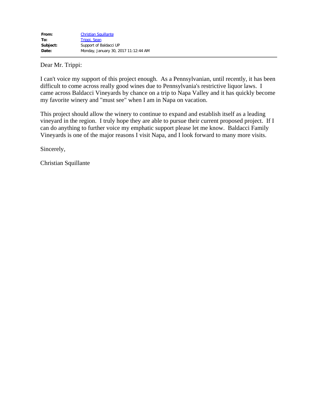Dear Mr. Trippi:

I can't voice my support of this project enough. As a Pennsylvanian, until recently, it has been difficult to come across really good wines due to Pennsylvania's restrictive liquor laws. I came across Baldacci Vineyards by chance on a trip to Napa Valley and it has quickly become my favorite winery and "must see" when I am in Napa on vacation.

This project should allow the winery to continue to expand and establish itself as a leading vineyard in the region. I truly hope they are able to pursue their current proposed project. If I can do anything to further voice my emphatic support please let me know. Baldacci Family Vineyards is one of the major reasons I visit Napa, and I look forward to many more visits.

Sincerely,

Christian Squillante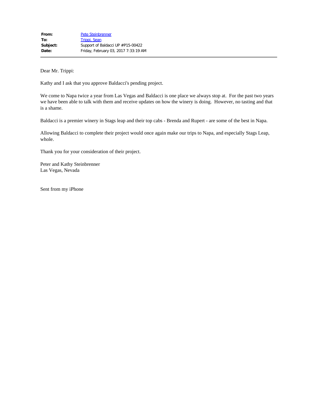Dear Mr. Trippi:

Kathy and I ask that you approve Baldacci's pending project.

We come to Napa twice a year from Las Vegas and Baldacci is one place we always stop at. For the past two years we have been able to talk with them and receive updates on how the winery is doing. However, no tasting and that is a shame.

Baldacci is a premier winery in Stags leap and their top cabs - Brenda and Rupert - are some of the best in Napa.

Allowing Baldacci to complete their project would once again make our trips to Napa, and especially Stags Leap, whole.

Thank you for your consideration of their project.

Peter and Kathy Steinbrenner Las Vegas, Nevada

Sent from my iPhone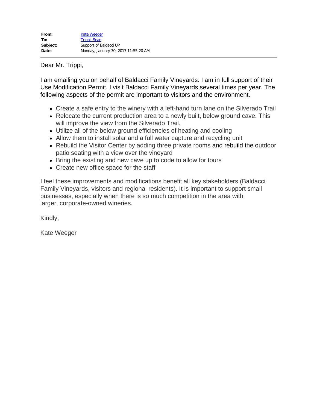Dear Mr. Trippi,

I am emailing you on behalf of Baldacci Family Vineyards. I am in full support of their Use Modification Permit. I visit Baldacci Family Vineyards several times per year. The following aspects of the permit are important to visitors and the environment.

- Create a safe entry to the winery with a left-hand turn lane on the Silverado Trail
- Relocate the current production area to a newly built, below ground cave. This will improve the view from the Silverado Trail.
- Utilize all of the below ground efficiencies of heating and cooling
- Allow them to install solar and a full water capture and recycling unit
- Rebuild the Visitor Center by adding three private rooms and rebuild the outdoor patio seating with a view over the vineyard
- Bring the existing and new cave up to code to allow for tours
- Create new office space for the staff

I feel these improvements and modifications benefit all key stakeholders (Baldacci Family Vineyards, visitors and regional residents). It is important to support small businesses, especially when there is so much competition in the area with larger, corporate-owned wineries.

Kindly,

Kate Weeger